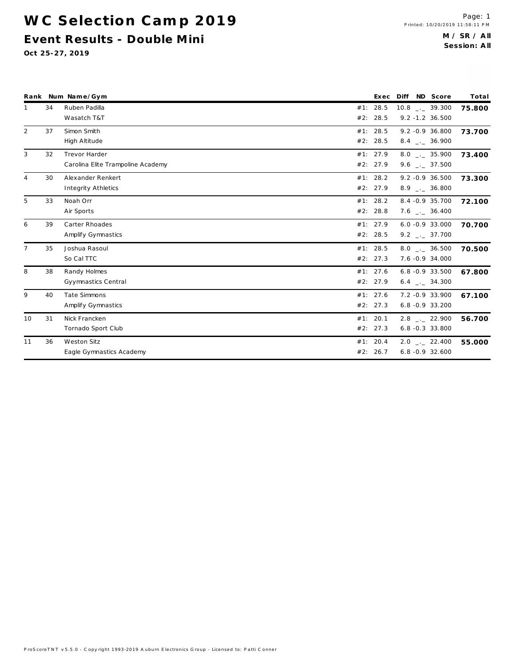WC Selection Camp 2019 **Event Results - D ouble M ini**

**Oct 25-27, 2019**

|                |    | Rank Num Name/Gym                                         | Exec                 | Diff | ND Score                                     | Total  |
|----------------|----|-----------------------------------------------------------|----------------------|------|----------------------------------------------|--------|
|                | 34 | Ruben Padilla<br>Wasatch T&T                              | #1: 28.5<br>#2: 28.5 |      | 10.8 . 39.300<br>$9.2 - 1.2$ 36.500          | 75.800 |
| $\overline{2}$ | 37 | Simon Smith<br>High Altitude                              | #1: 28.5<br>#2: 28.5 |      | $9.2 - 0.9 36.800$<br>$8.4$ _._ 36.900       | 73.700 |
| 3              | 32 | <b>Trevor Harder</b><br>Carolina Elite Trampoline Academy | #1: 27.9<br>#2: 27.9 |      | $8.0$ _._ 35.900<br>9.6 $\frac{1}{2}$ 37.500 | 73.400 |
| 4              | 30 | Alexander Renkert<br>Integrity Athletics                  | #1: 28.2<br>#2: 27.9 |      | $9.2 - 0.9 36.500$<br>$8.9$ _._ 36.800       | 73.300 |
| 5              | 33 | Noah Orr<br>Air Sports                                    | #1: 28.2<br>#2: 28.8 |      | 8.4 -0.9 35.700<br>$7.6$ _._ 36.400          | 72.100 |
| 6              | 39 | Carter Rhoades<br>Amplify Gymnastics                      | #1: 27.9<br>#2: 28.5 |      | $6.0 - 0.9$ 33.000<br>9.2 $\qquad$ 37.700    | 70.700 |
| $\overline{7}$ | 35 | Joshua Rasoul<br>So Cal TTC                               | #1: 28.5<br>#2: 27.3 |      | $8.0$ _._ 36.500<br>7.6 -0.9 34.000          | 70.500 |
| 8              | 38 | Randy Holmes<br>Gyymnastics Central                       | #1: 27.6<br>#2: 27.9 |      | $6.8 - 0.9$ 33.500<br>$6.4$ _._ 34.300       | 67.800 |
| 9              | 40 | Tate Simmons<br>Amplify Gymnastics                        | #1: 27.6<br>#2: 27.3 |      | 7.2 -0.9 33.900<br>$6.8 - 0.9 33.200$        | 67.100 |
| 10             | 31 | Nick Francken<br>Tornado Sport Club                       | #1: 20.1<br>#2: 27.3 |      | $2.8$ $_{-}$ 22.900<br>$6.8 - 0.3$ 33.800    | 56.700 |
| 11             | 36 | Weston Sitz<br>Eagle Gymnastics Academy                   | #1: 20.4<br>#2: 26.7 |      | $2.0$ $-.22.400$<br>$6.8 - 0.9$ 32.600       | 55.000 |